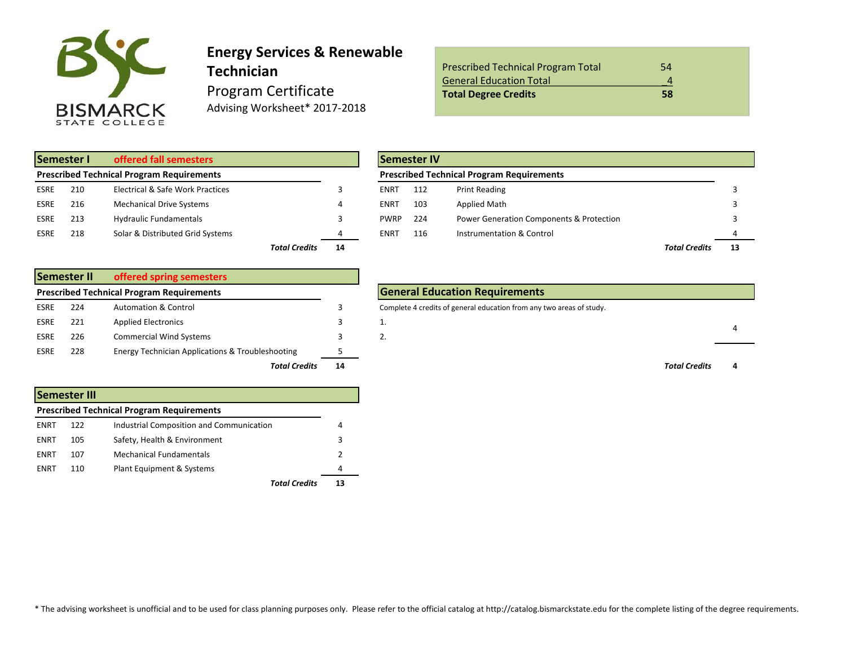

### **Energy Services & Renewable Technician** Program Certificate Advising Worksheet\* 2017-2018

| <b>Prescribed Technical Program Total</b> | 54 |
|-------------------------------------------|----|
| <b>General Education Total</b>            |    |
| <b>Total Degree Credits</b>               | 58 |

| Semester I  |     | offered fall semesters                           |               |           |             |     | <b>Semester IV</b>                               |
|-------------|-----|--------------------------------------------------|---------------|-----------|-------------|-----|--------------------------------------------------|
|             |     | <b>Prescribed Technical Program Requirements</b> |               |           |             |     | <b>Prescribed Technical Program Requirements</b> |
| <b>ESRE</b> | 210 | Electrical & Safe Work Practices                 |               |           | ENRT        | 112 | <b>Print Reading</b>                             |
| <b>ESRE</b> | 216 | <b>Mechanical Drive Systems</b>                  |               | 4         | ENRT        | 103 | Applied Math                                     |
| <b>ESRE</b> | 213 | <b>Hydraulic Fundamentals</b>                    |               |           | <b>PWRP</b> | 224 | <b>Power Generation Componer</b>                 |
| <b>ESRE</b> | 218 | Solar & Distributed Grid Systems                 |               | 4         | ENRT        | 116 | Instrumentation & Control                        |
|             |     |                                                  | Total Crodito | <b>1A</b> |             |     |                                                  |

|             | Semester II | offered spring semesters                         |    |  |
|-------------|-------------|--------------------------------------------------|----|--|
|             |             | <b>Prescribed Technical Program Requirements</b> |    |  |
| <b>ESRE</b> | 224         | <b>Automation &amp; Control</b>                  | 3  |  |
| <b>ESRE</b> | 221         | <b>Applied Electronics</b>                       | 3  |  |
| <b>ESRE</b> | 226         | <b>Commercial Wind Systems</b>                   | 3  |  |
| <b>ESRE</b> | 228         | Energy Technician Applications & Troubleshooting |    |  |
|             |             | <b>Total Credits</b>                             | 14 |  |

| <b>Semester III</b> |     |                                                  |   |  |  |  |  |
|---------------------|-----|--------------------------------------------------|---|--|--|--|--|
|                     |     | <b>Prescribed Technical Program Requirements</b> |   |  |  |  |  |
| ENRT                | 122 | Industrial Composition and Communication         | 4 |  |  |  |  |
| ENRT                | 105 | Safety, Health & Environment                     | 3 |  |  |  |  |
| ENRT                | 107 | Mechanical Fundamentals                          |   |  |  |  |  |
| ENRT                | 110 | Plant Equipment & Systems                        | 4 |  |  |  |  |
|                     |     | Total Credits                                    |   |  |  |  |  |

|                                                  | Semester I | offered fall semesters           |                      |    |             | <b>Semester IV</b>                               |                                          |                      |    |  |  |  |
|--------------------------------------------------|------------|----------------------------------|----------------------|----|-------------|--------------------------------------------------|------------------------------------------|----------------------|----|--|--|--|
| <b>Prescribed Technical Program Requirements</b> |            |                                  |                      |    |             | <b>Prescribed Technical Program Requirements</b> |                                          |                      |    |  |  |  |
| ESRE                                             | 210        | Electrical & Safe Work Practices |                      |    | <b>ENRT</b> | 112                                              | <b>Print Reading</b>                     |                      |    |  |  |  |
| ESRE                                             | 216        | <b>Mechanical Drive Systems</b>  |                      |    | <b>ENRT</b> | 103                                              | Applied Math                             |                      |    |  |  |  |
| ESRE                                             | 213        | <b>Hydraulic Fundamentals</b>    |                      |    | <b>PWRP</b> | 224                                              | Power Generation Components & Protection |                      |    |  |  |  |
| ESRE                                             | 218        | Solar & Distributed Grid Systems |                      |    | <b>ENRT</b> | 116                                              | Instrumentation & Control                |                      |    |  |  |  |
|                                                  |            |                                  | <b>Total Credits</b> | 14 |             |                                                  |                                          | <b>Total Credits</b> | 13 |  |  |  |

#### **General Education Requirements**

Complete 4 credits of general education from any two areas of study.



\* The advising worksheet is unofficial and to be used for class planning purposes only. Please refer to the official catalog at http://catalog.bismarckstate.edu for the complete listing of the degree requirements.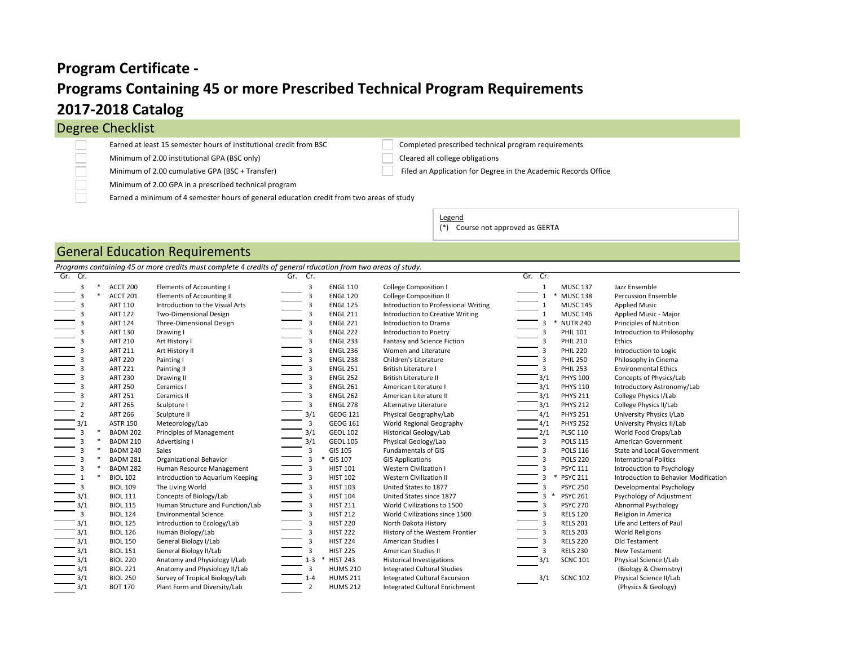# **Programs Containing 45 or more Prescribed Technical Program Requirements 2017-2018 Catalog Program Certificate -**

## Degree Checklist

┓ n Earned at least 15 semester hours of institutional credit from BSC Completed prescribed technical program requirements

Minimum of 2.00 institutional GPA (BSC only) Cleared all college obligations

Minimum of 2.00 GPA in a prescribed technical program

Earned a minimum of 4 semester hours of general education credit from two areas of study

Minimum of 2.00 cumulative GPA (BSC + Transfer) Filed an Application for Degree in the Academic Records Office

Legend (\*) Course not approved as GERTA

#### General Education Requirements

*Programs containing 45 or more credits must complete 4 credits of general rducation from two areas of study.*

| Gr. Cr.        |                 |                                  | Gr. Cr.        |                 |                                      | Gr. Cr.                |                                       |
|----------------|-----------------|----------------------------------|----------------|-----------------|--------------------------------------|------------------------|---------------------------------------|
| 3              | ACCT 200        | Elements of Accounting I         | 3              | <b>ENGL 110</b> | <b>College Composition I</b>         | <b>MUSC 137</b>        | Jazz Ensemble                         |
|                | ACCT 201        | <b>Elements of Accounting II</b> | 3              | <b>ENGL 120</b> | <b>College Composition II</b>        | <b>MUSC 138</b>        | <b>Percussion Ensemble</b>            |
|                | <b>ART 110</b>  | Introduction to the Visual Arts  | 3              | <b>ENGL 125</b> | Introduction to Professional Writing | <b>MUSC 145</b>        | <b>Applied Music</b>                  |
|                | <b>ART 122</b>  | <b>Two-Dimensional Design</b>    | 3              | <b>ENGL 211</b> | Introduction to Creative Writing     | <b>MUSC 146</b>        | Applied Music - Major                 |
|                | <b>ART 124</b>  | Three-Dimensional Design         | 3              | <b>ENGL 221</b> | Introduction to Drama                | <b>NUTR 240</b><br>3   | Principles of Nutrition               |
|                | <b>ART 130</b>  | Drawing I                        | 3              | <b>ENGL 222</b> | Introduction to Poetry               | <b>PHIL 101</b><br>3   | Introduction to Philosophy            |
|                | <b>ART 210</b>  | Art History I                    | 3              | <b>ENGL 233</b> | Fantasy and Science Fiction          | <b>PHIL 210</b><br>3   | Ethics                                |
|                | <b>ART 211</b>  | Art History II                   | 3              | <b>ENGL 236</b> | Women and Literature                 | <b>PHIL 220</b><br>3   | Introduction to Logic                 |
|                | <b>ART 220</b>  | Painting I                       | 3              | <b>ENGL 238</b> | Children's Literature                | <b>PHIL 250</b>        | Philosophy in Cinema                  |
|                | <b>ART 221</b>  | Painting II                      | 3              | <b>ENGL 251</b> | <b>British Literature I</b>          | <b>PHIL 253</b>        | <b>Environmental Ethics</b>           |
|                | <b>ART 230</b>  | Drawing II                       | $\overline{3}$ | <b>ENGL 252</b> | <b>British Literature II</b>         | <b>PHYS 100</b><br>3/1 | Concepts of Physics/Lab               |
|                | <b>ART 250</b>  | Ceramics I                       | $\overline{3}$ | <b>ENGL 261</b> | American Literature I                | <b>PHYS 110</b><br>3/1 | Introductory Astronomy/Lab            |
|                | <b>ART 251</b>  | Ceramics II                      | 3              | <b>ENGL 262</b> | American Literature II               | <b>PHYS 211</b><br>3/1 | College Physics I/Lab                 |
|                | <b>ART 265</b>  | Sculpture I                      | 3              | <b>ENGL 278</b> | Alternative Literature               | <b>PHYS 212</b><br>3/1 | College Physics II/Lab                |
| $\overline{2}$ | <b>ART 266</b>  | Sculpture II                     | 3/1            | GEOG 121        | Physical Geography/Lab               | <b>PHYS 251</b><br>4/1 | University Physics I/Lab              |
| 3/1            | <b>ASTR 150</b> | Meteorology/Lab                  | 3              | GEOG 161        | World Regional Geography             | <b>PHYS 252</b><br>4/1 | University Physics II/Lab             |
| 3              | <b>BADM 202</b> | Principles of Management         | 3/1            | <b>GEOL 102</b> | Historical Geology/Lab               | <b>PLSC 110</b>        | World Food Crops/Lab                  |
|                | <b>BADM 210</b> | Advertising I                    | 3/1            | <b>GEOL 105</b> | Physical Geology/Lab                 | <b>POLS 115</b>        | American Government                   |
|                | <b>BADM 240</b> | Sales                            | 3              | GIS 105         | <b>Fundamentals of GIS</b>           | <b>POLS 116</b>        | State and Local Government            |
|                | <b>BADM 281</b> | <b>Organizational Behavior</b>   | 3              | <b>GIS 107</b>  | <b>GIS Applications</b>              | <b>POLS 220</b>        | <b>International Politics</b>         |
|                | <b>BADM 282</b> | Human Resource Management        | 3              | <b>HIST 101</b> | <b>Western Civilization I</b>        | <b>PSYC 111</b><br>3   | Introduction to Psychology            |
|                | <b>BIOL 102</b> | Introduction to Aquarium Keeping | 3              | <b>HIST 102</b> | <b>Western Civilization II</b>       | <b>PSYC 211</b><br>3   | Introduction to Behavior Modification |
| 3              | <b>BIOL 109</b> | The Living World                 | 3              | <b>HIST 103</b> | United States to 1877                | <b>PSYC 250</b><br>3   | Developmental Psychology              |
| 3/1            | <b>BIOL 111</b> | Concepts of Biology/Lab          | 3              | <b>HIST 104</b> | United States since 1877             | <b>PSYC 261</b><br>3   | Psychology of Adjustment              |
| 3/1            | <b>BIOL 115</b> | Human Structure and Function/Lab | 3              | <b>HIST 211</b> | World Civilizations to 1500          | <b>PSYC 270</b>        | Abnormal Psychology                   |
| 3              | <b>BIOL 124</b> | <b>Environmental Science</b>     | 3              | <b>HIST 212</b> | World Civilizations since 1500       | <b>RELS 120</b>        | Religion in America                   |
| 3/1            | <b>BIOL 125</b> | Introduction to Ecology/Lab      | 3              | <b>HIST 220</b> | North Dakota History                 | <b>RELS 201</b>        | Life and Letters of Paul              |
| 3/1            | <b>BIOL 126</b> | Human Biology/Lab                | 3              | <b>HIST 222</b> | History of the Western Frontier      | <b>RELS 203</b>        | <b>World Religions</b>                |
| 3/1            | <b>BIOL 150</b> | General Biology I/Lab            | 3              | <b>HIST 224</b> | American Studies I                   | <b>RELS 220</b><br>3   | Old Testament                         |
| 3/1            | <b>BIOL 151</b> | General Biology II/Lab           | 3              | <b>HIST 225</b> | American Studies II                  | <b>RELS 230</b><br>3   | New Testament                         |
| 3/1            | <b>BIOL 220</b> | Anatomy and Physiology I/Lab     | $1 - 3$        | <b>HIST 243</b> | <b>Historical Investigations</b>     | <b>SCNC 101</b>        | Physical Science I/Lab                |
| 3/1            | <b>BIOL 221</b> | Anatomy and Physiology II/Lab    | 3              | <b>HUMS 210</b> | <b>Integrated Cultural Studies</b>   |                        | (Biology & Chemistry)                 |
| 3/1            | <b>BIOL 250</b> | Survey of Tropical Biology/Lab   | $1 - 4$        | <b>HUMS 211</b> | <b>Integrated Cultural Excursion</b> | 3/1<br><b>SCNC 102</b> | Physical Science II/Lab               |
| 3/1            | <b>BOT 170</b>  | Plant Form and Diversity/Lab     | $\overline{2}$ | <b>HUMS 212</b> | Integrated Cultural Enrichment       |                        | (Physics & Geology)                   |